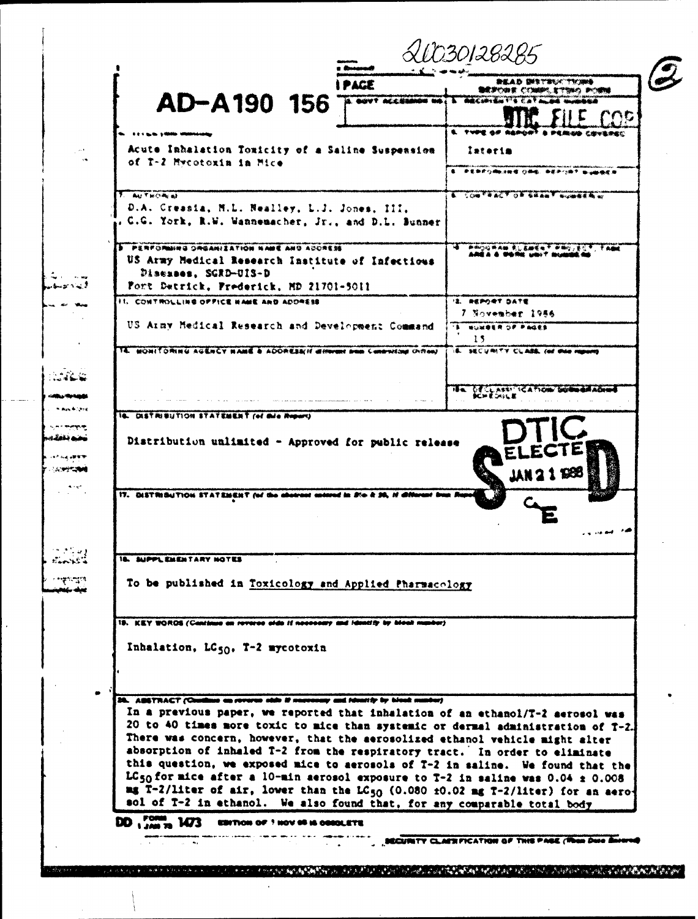| <b>PAGE</b>                                                                                                                                                                                                                                                                                                                                                                                                                                                                                                                                                                                                                                                                                        | <b>MEYBAC TROMA</b>                            |
|----------------------------------------------------------------------------------------------------------------------------------------------------------------------------------------------------------------------------------------------------------------------------------------------------------------------------------------------------------------------------------------------------------------------------------------------------------------------------------------------------------------------------------------------------------------------------------------------------------------------------------------------------------------------------------------------------|------------------------------------------------|
| AD-A190 156<br><b>12. GOVY ACCESSION NO.</b>                                                                                                                                                                                                                                                                                                                                                                                                                                                                                                                                                                                                                                                       | 職業学的教業 どく知識的 発で気味の あの織物<br><b>A SHECHANNES</b> |
|                                                                                                                                                                                                                                                                                                                                                                                                                                                                                                                                                                                                                                                                                                    | 'NG                                            |
|                                                                                                                                                                                                                                                                                                                                                                                                                                                                                                                                                                                                                                                                                                    | E. TYPE OF REPORT & PERIOD CRYSSED             |
| Acute Inhalation Toxicity of a Saline Suspension<br>of T-2 Mycotoxin in Mice                                                                                                                                                                                                                                                                                                                                                                                                                                                                                                                                                                                                                       | Interim                                        |
|                                                                                                                                                                                                                                                                                                                                                                                                                                                                                                                                                                                                                                                                                                    | 医单色白细胞注射镜 白褐银、黄花色白青色,新山脉曲皮海                    |
| <b>ANTWORKER</b><br>D.A. Creasia, N.L. Nealley, L.J. Jones, III,<br>. C.G. York, R.W. Wannemacher, Jr., and D.L. Bunner                                                                                                                                                                                                                                                                                                                                                                                                                                                                                                                                                                            | <b>A. CONTRACT OF GRANT NUMBER OF</b>          |
| <b>S. PERFORMING ORGANIZATION NAME AND ADDRESS</b><br>US Army Medical Research Institute of Infectious<br>Diseases, SGRD-UIS-D<br>Fort Detrick, Prederick, MD 21701-5011                                                                                                                                                                                                                                                                                                                                                                                                                                                                                                                           | 中国公司共同部门 医比克酸医用于 中国公司生产于一个共同地                  |
| II. CONTROLLING OFFICE HAME AND ADDRESS                                                                                                                                                                                                                                                                                                                                                                                                                                                                                                                                                                                                                                                            | 12. REPORT DATE                                |
| US Ainy Medical Research and Development Command                                                                                                                                                                                                                                                                                                                                                                                                                                                                                                                                                                                                                                                   | 7 November 1956<br>"I NUMBER OF PAGES          |
|                                                                                                                                                                                                                                                                                                                                                                                                                                                                                                                                                                                                                                                                                                    | 15                                             |
| 14. MONITORING AGENCY MANE & ADDRESS'If different from Contraction (hybra)                                                                                                                                                                                                                                                                                                                                                                                                                                                                                                                                                                                                                         | IS. SECURITY CLASS ON this mount               |
|                                                                                                                                                                                                                                                                                                                                                                                                                                                                                                                                                                                                                                                                                                    | HAL OF CLASS! ICATION: DURINGALADEN            |
|                                                                                                                                                                                                                                                                                                                                                                                                                                                                                                                                                                                                                                                                                                    | <b>ICH ÉOISLE</b>                              |
|                                                                                                                                                                                                                                                                                                                                                                                                                                                                                                                                                                                                                                                                                                    |                                                |
| 17. DISTRIBUTION STATEMENT (of the abstract actived in Jim & JA, If different in                                                                                                                                                                                                                                                                                                                                                                                                                                                                                                                                                                                                                   |                                                |
| <b>18. SUPPLEMENTARY NOTES</b><br>To be published in Toxicology and Applied Pharmacology                                                                                                                                                                                                                                                                                                                                                                                                                                                                                                                                                                                                           |                                                |
| 19. ICEY WORDS (Continue on reverse aids if necessary and identity by blook number)                                                                                                                                                                                                                                                                                                                                                                                                                                                                                                                                                                                                                |                                                |
| Inhalation, LC50, T-2 mycotoxin<br>28. ABSTRACT (Continue on reverse olds if secretary and identify by blook number)                                                                                                                                                                                                                                                                                                                                                                                                                                                                                                                                                                               |                                                |
| In a previous paper, we reported that inhalation of an ethanol/T-2 aerosol was<br>20 to 40 times more toxic to mice than systemic or dermal administration of T-2.<br>There was concern, however, that the aerosolized ethanol vehicle might alter<br>absorption of inhaled T-2 from the respiratory tract. In order to eliminate<br>this question, we exposed mice to aerosols of T-2 in saline. We found that the<br>LC <sub>50</sub> for mice after a 10-min aerosol exposure to $T-2$ in saline was 0.04 $\pm$ 0.008<br>mg T-2/liter of air, lower than the $LC_{50}$ (0.080 $\pm$ 0.02 mg T-2/liter) for an aero-<br>sol of T-2 in ethanol. We also found that, for any comparable total body |                                                |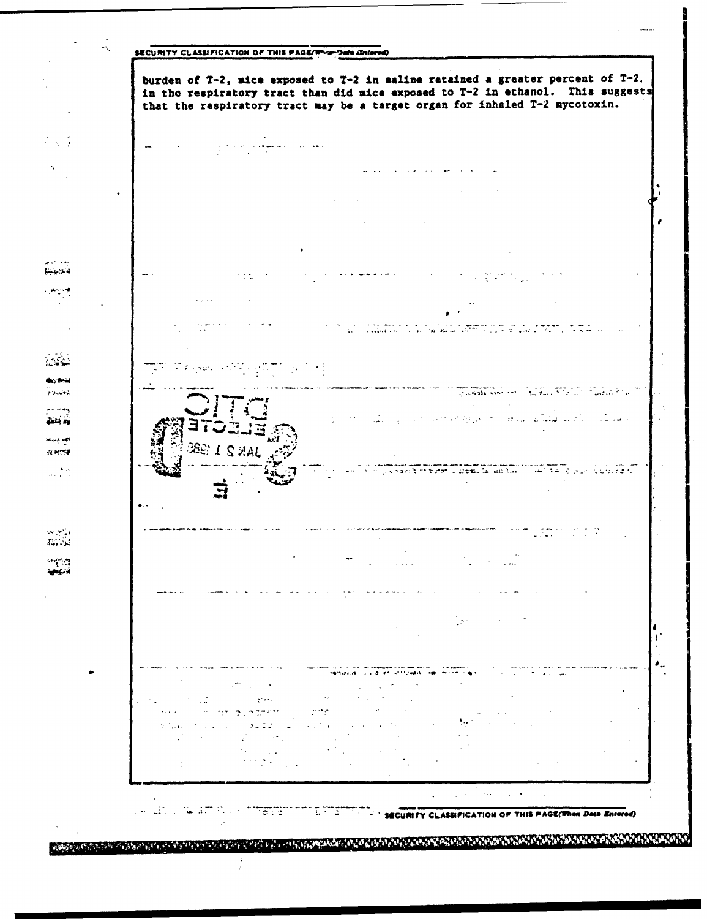

an a the conduction of the state and the state of the state of the state of the state of the state of the state of the state of the state of the state of the state of the state of the state of the state of the state of the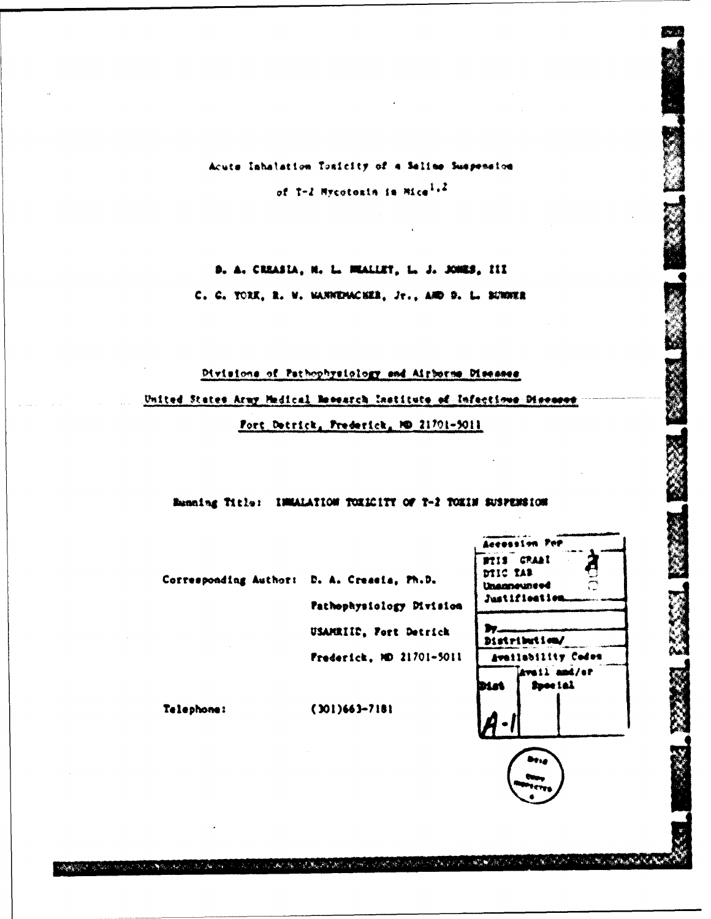Acute Inhatation Tonicity of a Saline Suspension of T-2 Mycotosin in Mice<sup>1.2</sup>

D. A. CREASLA, M. L. MEALLET, L. J. JONES, III C. C. TORE, R. W. WANNEMACKER, Jr., AND D. L. BUNNER

Divisions of Pathophysiology and Airborne Diseases United States Army Medical Research Institute of Infectious Diseases Fort Detrick, Prederick, ND 21701-5011

### Banning Title: IMMALATION TOXICITY OF T-2 TOXIN SUSPENSION

Accession Per **BTIS CRAAI** DIIC TAB

Unannevnered Justifieation

Distribution/

Availability Codes Avail and/ar Spocial

Iy.

DLat

پسر<br>د نه

|  | Corresponding Author: D. A. Creasia, Ph.D. |
|--|--------------------------------------------|
|  | Pathophysiology Division                   |
|  | USAMEIIC, Fort Detrick                     |
|  | Frederick, MD 21701-5011                   |

Telephone:

تعرضي ويتلاومهم الراد

الماري والجوام

 $(301)663 - 7181$ 

A San Andrew South Andrew March 2005 And the Company of the Company of the Company of the Company of the Company of the Company of the Company of the Company of the Company of the Company of the Company of the Company of t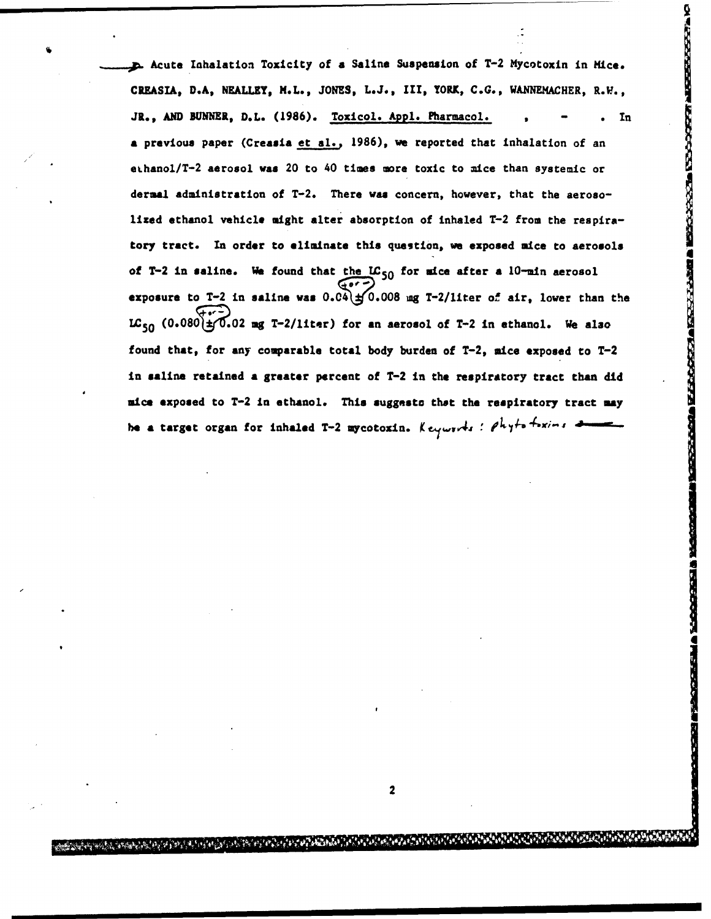, **p.** Acute Iahalation Toxicity of a Saline Suspension of T-2 Mycotoxin in Mice. CREASIA, D.A, NEALLEY, M.L., JONES, **L.J.,** III, YORK, C.G., WANNEMACHER, R.L., JR., AND BUNNER, D.L. (1986). Toxicol. Appl. Pharmacol. , - . In a previous paper (Creasia et al., 1986), we reported that inhalation of an eLhanol/T-2 aerosol **was** 20 to 40 times more toxic to mice than systemic or dermal administration of T-2. There was concern, however, that the aeroso**lized** ethanol vehicle might alter absorption of inhaled T-2 from the respiratory tract. **In** order to eliminate this question, we exposed mice to aerosols of T-2 in saline. We found that the LC<sub>50</sub> for mice after a 10-min aerosol exposure to  $T-2$  in saline was  $0.04$ )  $\pm$  0.008  $mg$   $T-2/l$ iter of air, lower than the LC<sub>50</sub> (0.080  $\pm$  0.02 mg T-2/liter) for an aerosol of T-2 in ethanol. We also found that, for any comparable total body burden of T-2, mice exposed to T-2 in saline retained **a** greater percent of T-2 in the respiratory tract than did **nice** exposed to T-2 in ethanol. This suggesto that the respiratory tract **may hermannity**  $\pi$ , AND BURNER, D.L. (1986). <u>Toxicol. Appl. Pharmacol.</u><br> **a** previous paper (Creasia et al., 1986), we reported that inhalation of an<br>
chanol/T-2 aerosol was 20 to 40 times sore toxic to mice than systemic

2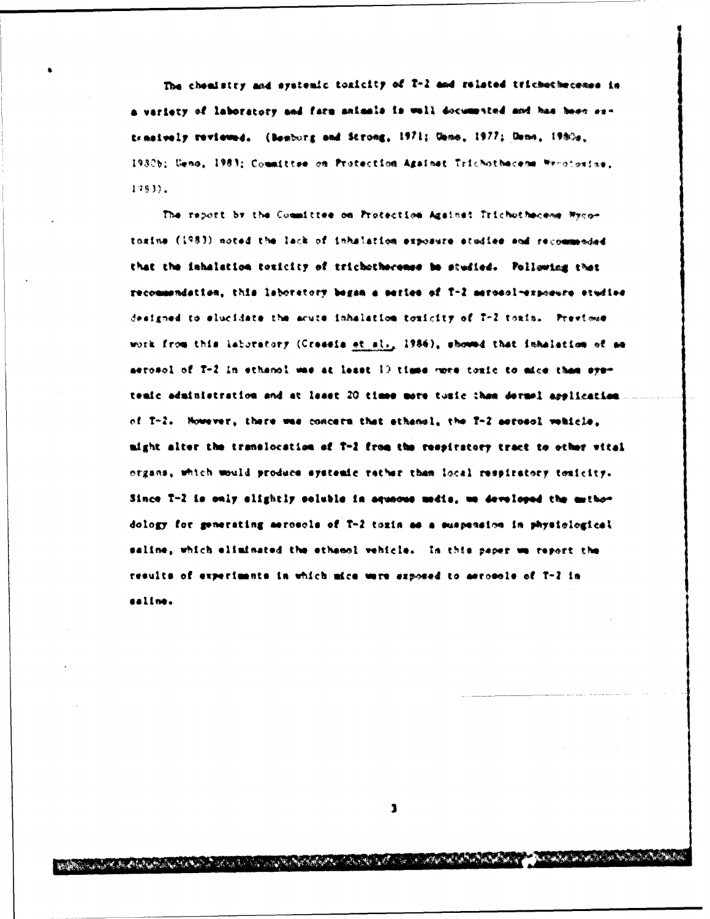The chemistry and exatemic toxicity of T-2 and related trichochecemes in a variety of laboratory and farm animals is well documented and has been extenaively reviewed. (Bemburg and Strong, 1971; Umne, 1977; Umne, 1980s. 1930b; Ceno, 1983; Committee on Protection Againet Trichothecens Wroccarise,  $1383$ .

The report by the Committee on Protection Against Trichothecess Mycotoxine (1983) noted the lack of inhalation exposure studies and recommended that the inhalation texicity of trichotherenes be studied. Pollowing that recommendation, this laboratory began a series of T-2 merosol-exposure studies designed to elucidate the acute inhalation toxicity of T-2 toxis. Prestowe work from this laboratory (Creasis et sl., 1986), showed that inhalation of an aerosol of T-2 in ethanol was at least 10 times more toxic to aice than symtenic administration and at least 20 times more toxic than dermel application of T-2. Nowever, there was concern that ethenol, the T-2 serosol webicle, might alter the translocation of T-2 from the respiratory tract to other vital organs, which would produce systemic rather than local respiratory temicity. Since T-2 is only alightly soluble in aqueous media, we developed the mathedology for generating aerosols of T-2 toxin as a suspension in physiological saline, which eliminated the ethanol vehicle. In this paper we report the results of experiments in which mice were exposed to aerosole of T-2 in saline.

 $\mathbf{1}$ 

A BARA A SAN SAN SAN SAN SAN SAN SAN SA

يحواله للاستعمال المعاشرة المتعاري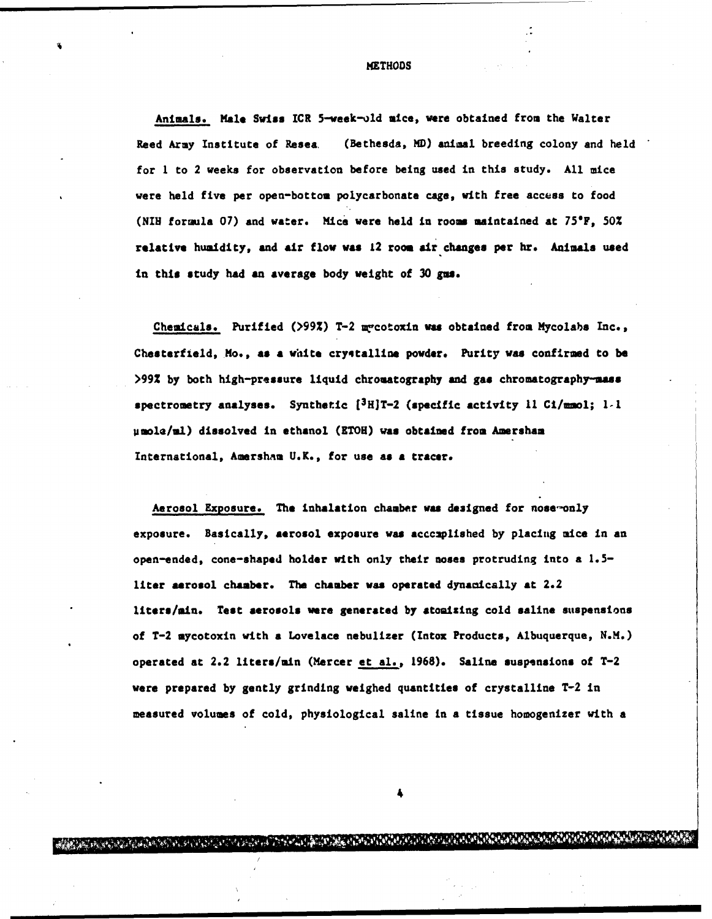**METHODS** 

Animals. Male Swiss ICR 5-week-old mice, were obtained from the Walter Reed Army Institute of Resea. (Bethesda, MD) animal breeding colony and held for I to 2 weeks for observation before being used in this study. All mice were held five per open-bottom polycarbonate cage, with free access to food (NIH formula 07) and water. Mice were held in rooms maintained at 750F, **50% relative** humidity, and air flow was 12 room air changes per hr. Animals used in this study had an average body weight of 30 **gus.**

Chemicals. Purified (>99%) T-2 m'cotoxin was obtained from Mycolabs Inc., Chesterfield, Mo., **as a** white cryctalline powder. Purity was confirmed to be >99Z by both high-pressure liquid chromatography and gas chromatography-mass spectrometry analyses. Synthetic [3H]T-2 (specific activity II Ci/maol; **1-I** µmole/ml) dissolved in ethanol (ETOH) was obtained from Amersham International, AmershAm U.K., for use **as a** tracer.

Aerosol Exposure. The inhalation chamber was designed for nose-only exposure. Basically, aerosol exposure was accczplished by placing mice in an open-ended, cone-shaped holder with only their noses protruding into a 1.5 liter aerosol chamber. The chamber was operated dynamically at 2.2 liters/min. Test aerosols were generated by atoaizing cold saline suspensions of T-2 mycotoxin with a Lovelace nebulizer (Intox Products, Albuquerque, N.M.) operated at 2.2 liters/min (Mercer et al., 1968). Saline suspensions of T-2 were prepared by gently grinding weighed quantities of crystalline T-2 in measured volumes of cold, physiological saline in a tissue homogenizer with **a**

4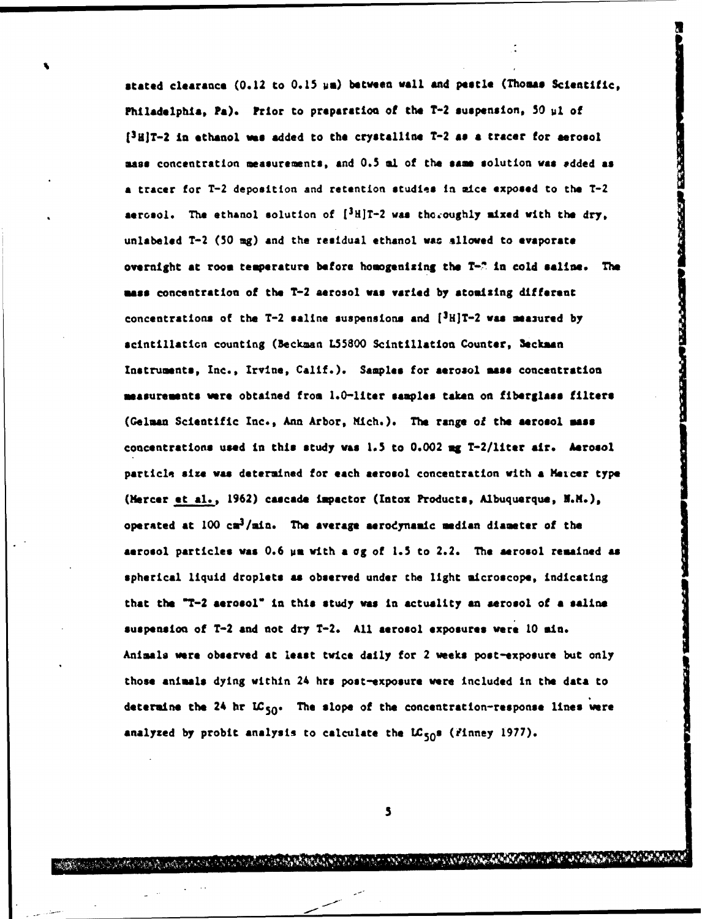stated clearance (0.12 to 0.15 **us)** between **wall** and pestle (Thomas Scientific, **Philadelphia, Pa).** Prior to **preparation** of the T-2 suspension, 50 ul of [ <sup>3</sup> HiT-2 **in** ethanol **was** added to the crystalline T-2 **as a** tracer for aerosol **mass** concentration measurements, and 0.5 **al** of the **same** solution **was** \*dded as **a** tracer for T-2 deposition and retention studies in mice exposed to the T-2 aerosol. The ethanol solution of  $[3H]T-2$  was the oughly mixed with the dry, unlabeled T-2 **(S0** mg) and the residual ethanol wac allowed to evaporate overnight at **room** temperature before homogenizing the T-ý in cold saline. The **msos** concentration of the T-2 aerosol **was** varied by atomizing different concentrations of the T-2 saline suspensions and  $[{^3H}]T-2$  was measured by scintillation counting (Beckman L55800 Scintillation Counter, 3eckman Instruments, Inc., Irvine, Calif.). Samples for aerosol mass concentration measurements were obtained from 1.0-liter **samples** takn on fiberglass filters (Geluan Scientific Inc., Ann Arbor, Mich.). The range of the aerosol **mas** concentrations used in this study was **1.5** to 0.002 **ug** T-2/liter air. Aerosol particle size was determined for each aerosol concentration with a Meicer type (Mercer et al., 1962) cascade impactor (Intox Products, Albuquerque, N.M.), operated at  $100 \text{ cm}^3/\text{min}$ . The average aerodynamic median diameter of the aerosol particle# was **0.6** us with **a og** of **1.5** to 2.2. The aerosol remained **as** spherical liquid droplets as observed under the light microscope, indicating that the "T-2 aerosol" in this study was In actuality an aerosol of **a** saline suspension of T-2 and not dry T-2. All aerosol exposures were 10 min. Animals ware observed at least twice daily for 2 weeks post-exposure but only those animals dying within 24 hrs post-exposure were included in the data to determine the 24 hr LC<sub>50</sub>. The slope of the concentration-response lines were analyzed by probit analysis to calculate the  $LC_{50}$ s (finney 1977).

**BEIGHT** 

**5**

**CONTRACTOR AND CONTRACTOR**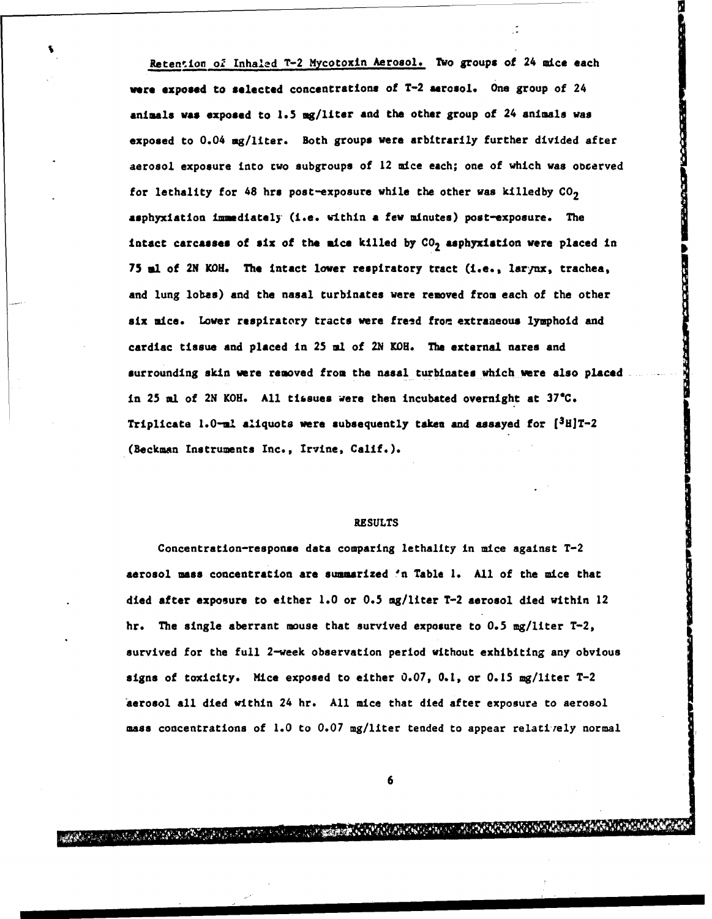Retention of Inhaled T-2 Mycotoxin Aerosol. Two groups of 24 mice each were exposed to selected concentrations of T-2 aerosol. One group of 24 animals **was** exposed to **1.5** mg/liter and the other group of 24 animals was exposed to 0.04 mg/liter. Both groups were arbitrarily further divided after aerosol exposure into two subgroups of 12 mice each; one of which was obcerved for lethality for 48 hrs post-exposure while the other was killedby  $CO<sub>2</sub>$ asphyxiation immediately (i.e. within a few minutes) post-exposure. The intact carcasses of six of the mice killed by  $CO<sub>2</sub>$  asphyxiation were placed in <sup>75</sup>**al** of 2N KOH. The intact lower respiratory tract (i.e., larynx, trachea, and lung lobas) and the nasal turbinates were removed from each of the other six mice. Lower respiratory tracts were freed from extraneous lymphoid and cardiac tissue and placed in 25 **al** of **2N** KOH. The external nares and surrounding skin were removed from the nasal turbinates which were also placed in 25 ml of 2N KOH. All tissues were then incubated overnight at **37"C.** Triplicate  $1.0$ -ml aliquots were subsequently taken and assayed for  $[3H]T-2$ (Beckman Instruments Inc., Irvine, Calif.).

### RESULTS

Concentration-response data comparing lethality in mice against T-2 aerosol mass concentration are summarized 'n Table 1. All of the mice that died after exposure to either 1.0 or 0.5 mg/liter T-2 aerosol died within 12 hr. The single aberrant mouse that survived exposure to 0.5 mg/liter T-2, survived for the full 2-week observation period without exhibiting any obvious signs of toxicity. Mice exposed to either 0.07, 0.1, or 0.15 mg/liter T-2 'aerosol all died within 24 hr. All mice that died after exposure to aerosol mass concentrations of 1.0 to 0.07 mg/liter tended to appear relati-ely normal

**6**

A ANDREWS AND THE REAL MARKET REPORT OF THE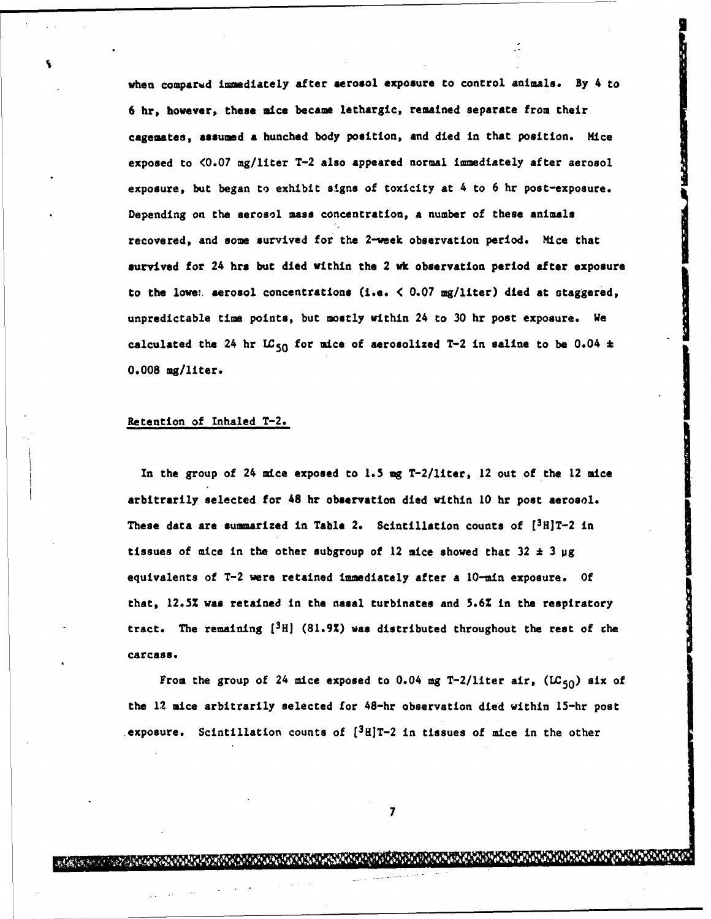when compared immediately after aerosol exposure to control animals. By 4 to 6 hr, however, these mice became lethargic, remained separate from their cagemates, assumed **a** hunched body position, and died in that position. Hice exposed to <0.07 mg/liter T-2 also appeared normal immediately after aerosol exposure, but began to exhibit signs of toxicity at 4 to 6 hr post-exposure. Depending on the aerosol mass concentration, a number of these animals recovered, and some survived for the 2-week observation period. Mice that survived for 24 hrs but died within the 2 wk observation period after exposure to the lowew aerosol concentrations (i.e.  $\langle 0.07 \text{ mg/liter} \rangle$  died at staggered, unpredictable time points, but mostly within 24 to 30 hr post exposure. We calculated the 24 hr  $LC_{50}$  for mice of aerosolized T-2 in saline to be 0.04  $\pm$ 0.008 mg/liter.

### Retention of Inhaled T-2.

In the group of 24 mice exposed to 1.5 **mg** T-2/liter, 12 out of the 12 mice arbitrarily selected for 48 hr observation died within 10 hr post aerosol. These data are summarized in Table 2. Scintillation counts of [3H]T-2 in tissues of mice in the other subgroup of 12 mice showed that 32 **\*** 3 **og** equivalents of T-2 were retained immediately after a 10-min exposure. Of that, 12.5Z was retained in the nasal turbinates and 5.6Z in the respiratory tract. The remaining  $[3H]$  (81.9%) was distributed throughout the rest of the carcass.

From the group of 24 mice exposed to 0.04 mg T-2/liter air,  $(LC_{50})$  six of the 12 mice arbitrarily selected for 48-hr observation died within 15-hr post exposure. Scintillation counts of  $[3H]T-2$  in tissues of mice in the other

**7**

**PARTICULAR AND RESIDENCE**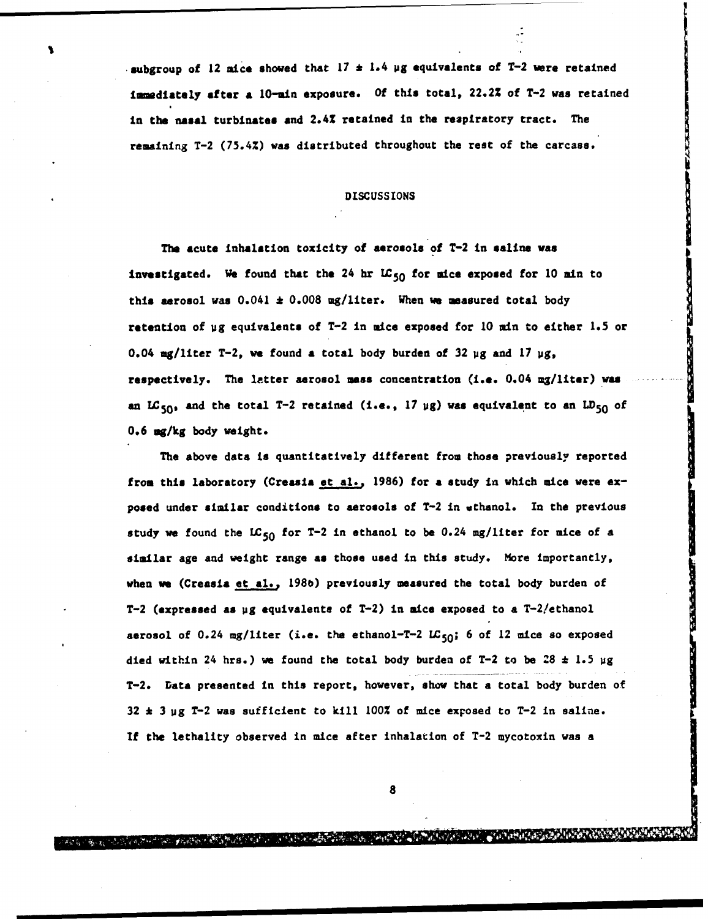subgroup of 12 nice showed that 17 **\*** 1.4 **Ug** equivalents of T-2 were retained Immediately after a 10-min exposure. Of this total, 22.2% of T-2 was retained in the nasal turbinates and 2.41 retained in the respiratory tract. The remaining T-2 (75.4%) was distributed throughout the rest of the carcass.

### DISCUSSIONS

The acute inhalation toxicity of aerosols of T-2 in saline was Investigated. We found that the 24 hr **195 <sup>0</sup>**for mice exposed for **10** min to this aerosol was 0.041 **\*** 0.008 mg/liter. When **we** measured total body retention of ug equivalents of T-2 in mice exposed for 10 min to either 1.5 or 0.04 mg/liter T-2, **we** found a total body burden of 32 **Ug** and 17 **Ug,** respectively. The letter aerosol mass concentration (i.e. 0.04 mg/liter) was an  $LC_{50}$ , and the total T-2 retained (i.e., 17  $\mu$ g) was equivalent to an  $LD_{50}$  of 0.6 mg/kg body weight.

The above data is quantitatively different from those previously reported from this laboratory (Creasia et al., 1986) for a study in which mice were  $ex$ posed under similar conditions to aerosols of T-2 in ethanol. In the previous study we found the LC<sub>50</sub> for T-2 in ethanol to be 0.24 mg/liter for mice of a similar age and weight range **as** those used in this study. More importantly, when we (Creasia et al., 1986) previously measured the total body burden of \*T-2 (expressed as **Ug** equivalents of T-2) in mice exposed to a T-2/ethanol aerosol of 0.24 mg/liter (i.e. the ethanol-T-2 LC<sub>50</sub>; 6 of 12 mice so exposed died within 24 hrs.) we found the total body burden of T-2 to be 28 \* 1.5 **Ug** T-2. Data presented in this report, however, show that a total body burden of  $32 \pm 3$  Mg T-2 was sufficient to kill  $100\%$  of mice exposed to T-2 in saline. If the lethality observed in mice after inhalation of T-2 mycotoxin was a

**8 a q 11 11 d 11 d 11 d 11**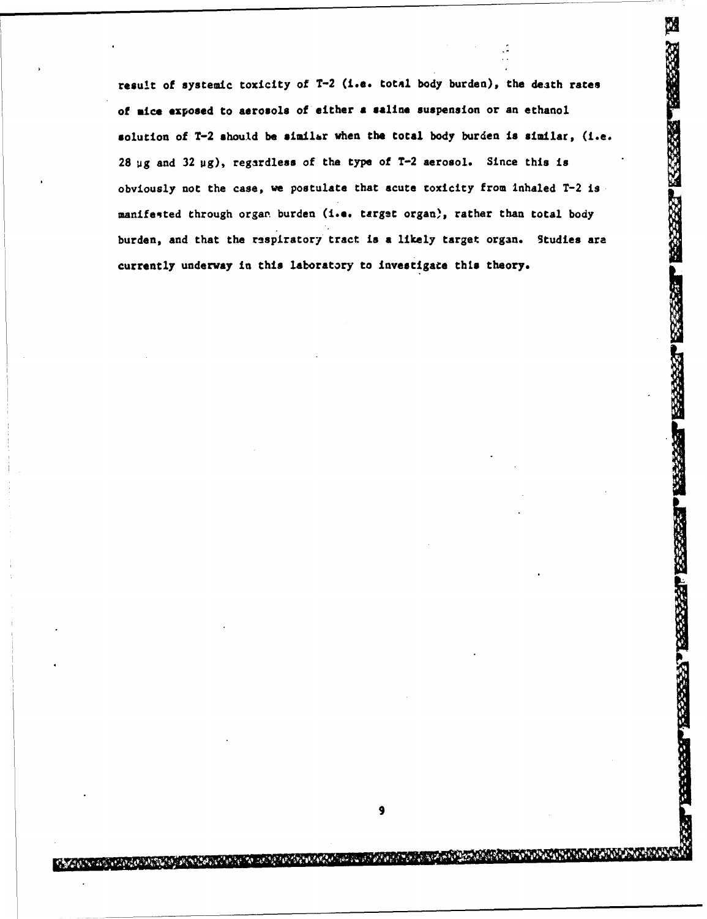result of systemic toxicity of T-2 (i.e. total body burden), the death rates of nice exposed to aerosols of either **a** saline suspension or an ethanol solution of T-2 should be similar when the total body burden is similar, (i.e. 28 **ug** and 32 ug), regardless of the type of T-2 aerosol. Since this is obviously not the case, we postulate that acute toxicity from inhaled T-2 is manifested through organ burden (i.e. target organ), rather than total body burden, and that the respiratory tract is a likely target organ. Studies are currently underway in this laboratory to investigate this theory.

**BEET MOSSES NASSES** TRANS

**BASES OF** 

**PARTICIPAL REPORT PRESENT** 

**9**

**Cardian School**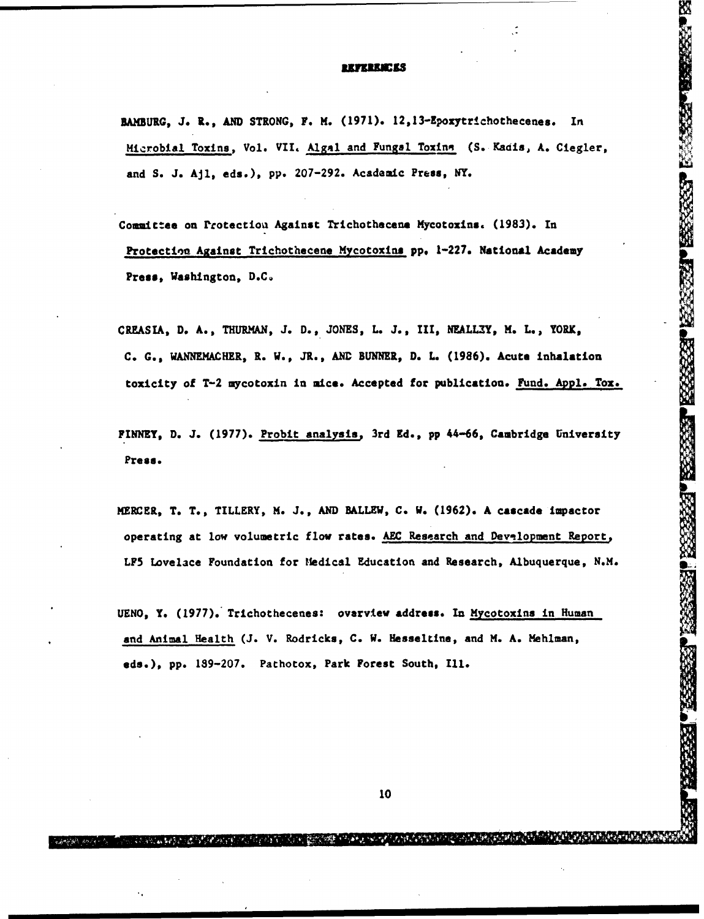### **REFEREEES**

<u>W</u>

532225

**SARA RESER** 

SSSSIP PSSSSSSS

BAMBUIG, J. R., **AND** STRONG, F. H. (1971). 12,13-Epoxytrichothecenes. In MICROBIAL TOXINS, Vol. VII. Algal and Fungal Toxins, N. Ciegler, N. (1971). 12,13-Epoxytrichothecenes. In<br>Microbial Toxins, Vol. VII. Algal and Fungal Toxins (S. Kadis, A. Ciegler, V. (1971). 12,13-Epoxytrichothecenes. In and **S.** J. Ajl, eds.), pp. 207-292. Academic Press, NY.

Committee on Protectiou Against Trichothecene Mycotoxins. (1983). In Protection Against Trichothecene Mycotoxins pp. 1-227. National Academy Press, Washington, D.C.

CREASIA, D. A., THURMAN, J. D., JONES, L. J., III, NEALLEY, M. L., YORK, C. G., WANNEHACHER, R. W., JR., AND **BUNNER,** D. L. (1986). Acute inhalation toxicity of T-2 mycotoxin in **mice.** Accepted for publication. Fund. Appl. Tox.

FINNEY, D. J. (1977). Probit analysis, 3rd Ed., pp 44-66, Cambridge University Press.

MERCER, T. T., TILLERY, H. J., AND BALLEW, C. W. (1962). A cascade Impactor operating at low volumetric flow rates. AEC Research and Development Report, **LF5** Lovelace Foundation for Ifedical Education and Research, Albuquerque, N.H.

UENO, Y. (1977). Trichothecenes: overview address. In Mycotoxins in Human and Animal Health (J. V. Rodricks, C. W. Hesseltine, and M. A. Mehlman, **ads.),** pp. 189-207. Pathotox, Park Forest South, Ill.

**10**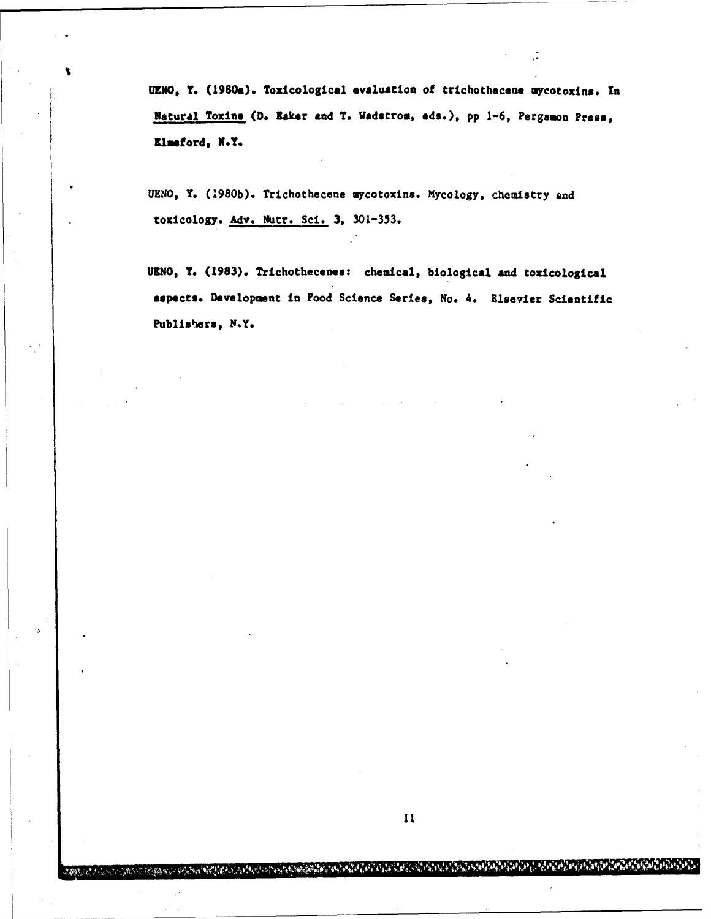UENO, Y. (1980a). Toxicological evaluation of trichothecene uycotoxins. In Natural Toxins (D. Eaker and T. Wadstrom, eds.), pp 1-6, Pergamon Press, Elmsford, N.Y.

UENO, Y. (1980b). Trichothecene mycotoxins. Mycology, chemistry and toxicology. Adv. Nutr. Sci. 3, 301-353.

UNO, Y. (1983). Trichothecenes: chemical, biological and toxicological aspects. Development in Food Science Series, No. 4. Elsevier Scientific Publishers, N.Y.

**CONTRACTOR OF THE PERMITS** 

22.4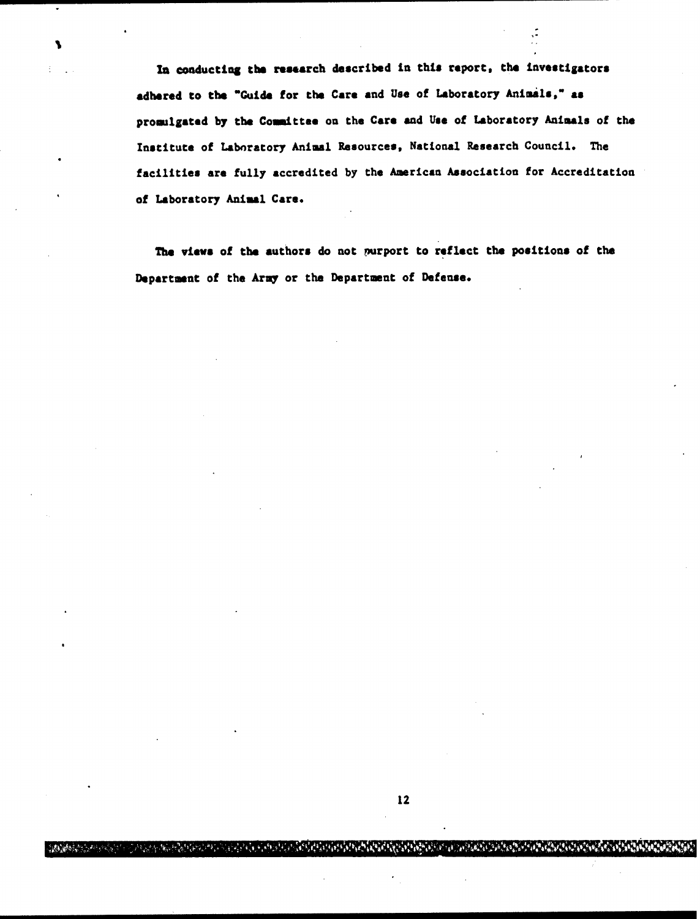**to** conducting the research described in this report, the investigators adhered to the "Guide for the Care and Use of Laboratory Animals"- **as** promulgated **by** the Committee on the Care and **Use** of Laboratory Animals of the Institute of Laboratory Animal Resources, National Research Council. The facilities are fully accredited **by** the American Association for Accreditation of Laboratory Animal Care.

۹

The views of the authors do not purport to reflect the positions of the Department of the Army or the Department of **Defense.**

ြင့္ လုပ္တယ္ တပ္တယ္လို႔ေရာက္ေရးမွာ ရြာေရးလုပ္ခဲ့ရသည္။ ေရာက္ေရးမွာ အမွားကို ရရွိရွိရွိရွိရွိေရးမွာ အမွားကြက္ေရး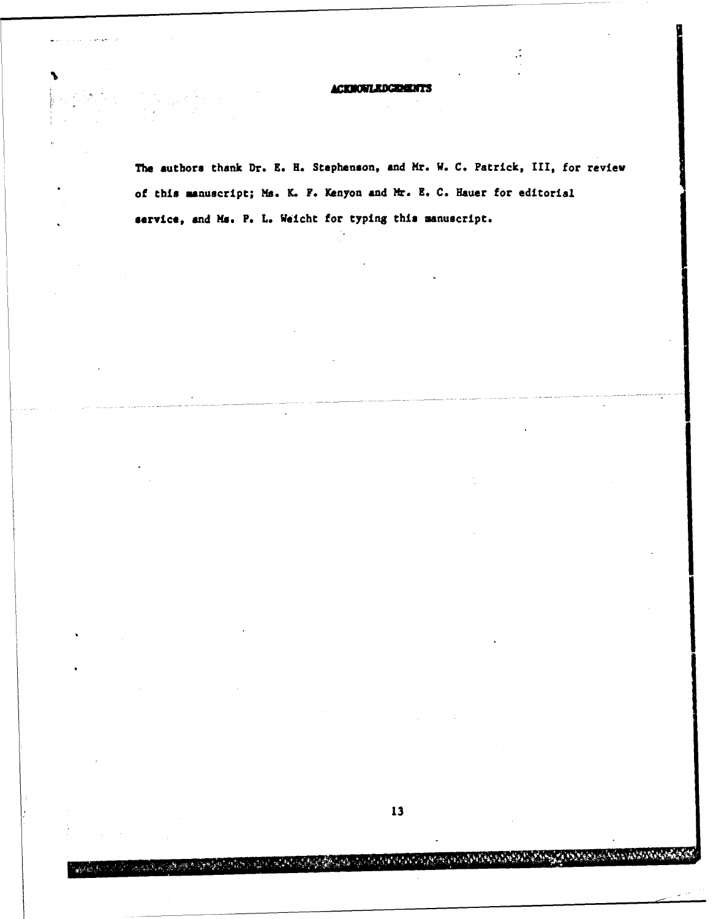ACKMOWLEDGEMENT:

The authors thank Dr. **E. H.** Stephenson, and Mr. W. C. Patrick, **I11,** for review of this manuscript; *Ms.* K. F. Kenyon and **Mr. E.** C. Hauer for editorial service, and Ms. P. L. Weicht for typing this manuscript.

ۮؘ**ؚ۩**۫ۯڹؖٵ؞ڋٙڟڸؽٞ؇؇ۮڋ۩ؾڛڔڟ

 $-3.72$ 

تر دينې

ويتوثرونها والوافعة تعاريا ومراجعة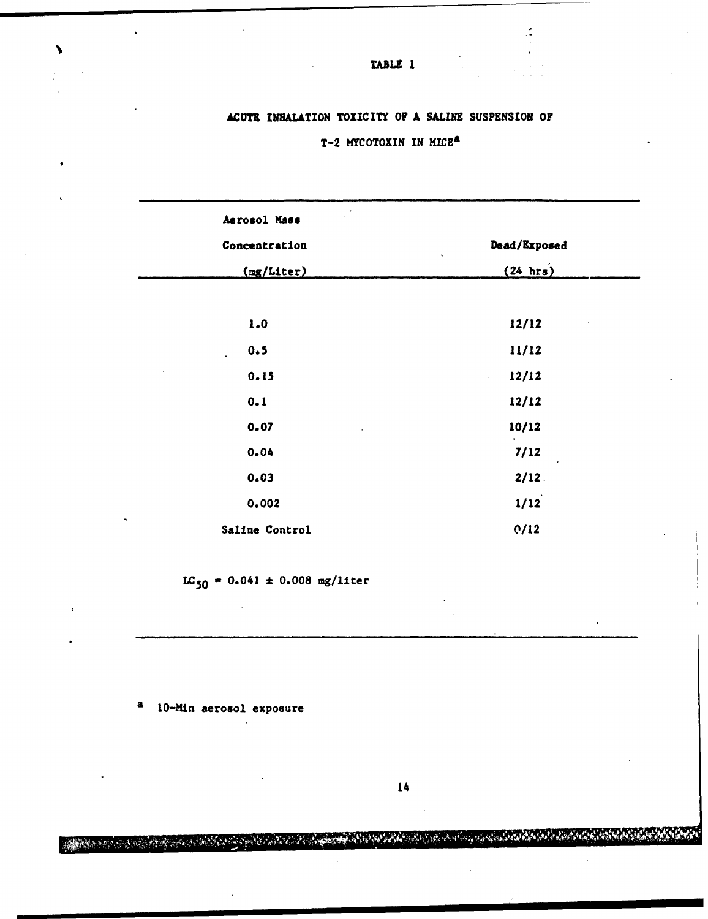## **ACUTE** INHALATION TOXICITY OF **A** SALINE SUSPENSION OF T-2 NYCOTOXIN IN MICEa

| Aerosol Mass                |                                      |
|-----------------------------|--------------------------------------|
| Concentration               | Dead/Exposed<br>$\ddot{\phantom{0}}$ |
| (mg/Liter)                  | (24 hr)                              |
|                             |                                      |
| 1.0                         | 12/12                                |
| 0.5<br>$\ddot{\phantom{0}}$ | 11/12                                |
| 0.15                        | 12/12                                |
| 0.1                         | 12/12                                |
| 0.07                        | 10/12                                |
| 0.04                        | 7/12                                 |
| 0.03                        | $2/12$ .                             |
| 0.002                       | 1/12                                 |
| Saline Control              | O/12                                 |

 $LC_{50} = 0.041 \pm 0.008$  mg/liter

a **10-Min** aerosol exposure

14

A START TO A START THE RESERVE OF THE RESIDENCE OF A START OF A START OF A START OF THE RESIDENCE OF THE RESIDENCE

TABLE **I**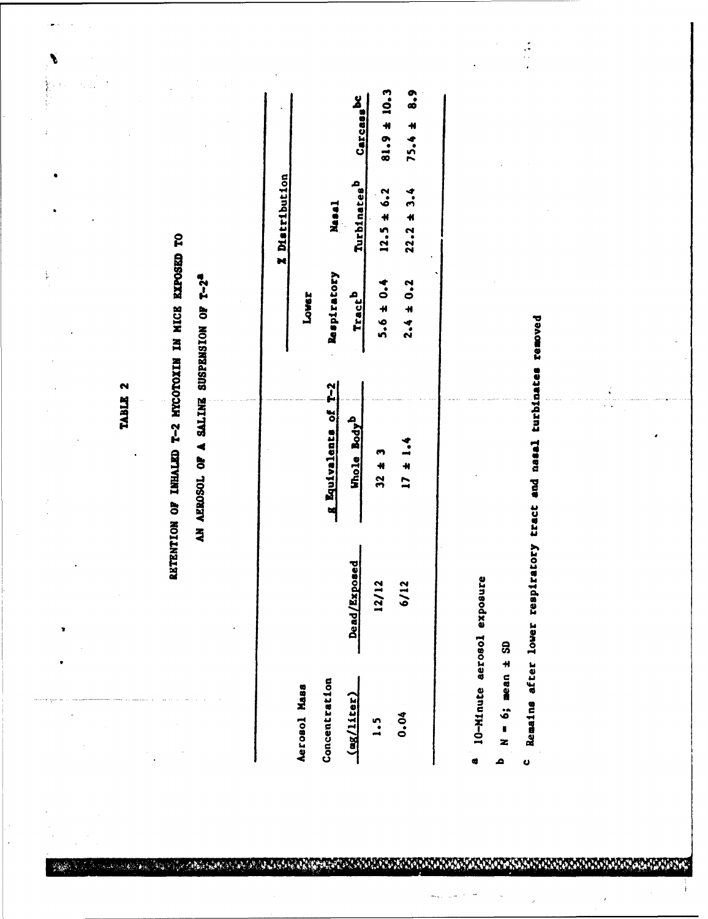TABLE 2

۱

 $\frac{1}{p}$ 

# RETENTION OF INHALED T-2 MYCOTOXIN IN HIGE EXPOSED TO

## AN AEROSOL OF A SALINE SUSPENSION OF T-2<sup>2</sup>

A BARA A SHEATH ANN AN DAOINE AN DAOINE AN DAOINE AN DAOINE AN AM AN DAOINE AN AM AN DAOINE ANN AN DAOINE AN A

|                     |                 |                         |                    | <b>X</b> Distribution |                 |
|---------------------|-----------------|-------------------------|--------------------|-----------------------|-----------------|
| Aerosol Mass        |                 |                         | <b>Louer</b>       |                       |                 |
| Concentration       |                 | Equivalents of T-2      | <b>Respiratory</b> | Masa1                 |                 |
| (mg/liter)          | Exposed<br>Dead | Whole Body <sup>D</sup> | Tract <sup>D</sup> | Turbinates            | Carcasasc       |
| $\ddot{\mathbf{.}}$ | 12/12           | $32 \pm 3$              | $5.6 \pm 0.4$      | $12.5 \pm 6.2$        | $81.9 \pm 10.3$ |
| 0.04                | 6/12            | $17 \pm 1.4$            | $2.4 \pm 0.2$      | $22.2 \pm 3.4$        | $75.4 \pm 8.9$  |
|                     |                 |                         |                    |                       |                 |

- a 10-Minute aerosol exposure
- $N = 6$ ; mean  $\pm$  SD <u>م</u>

 $\bullet$ 

Remains after lower respiratory tract and nasal turbinates removed

 $\frac{1}{2}$